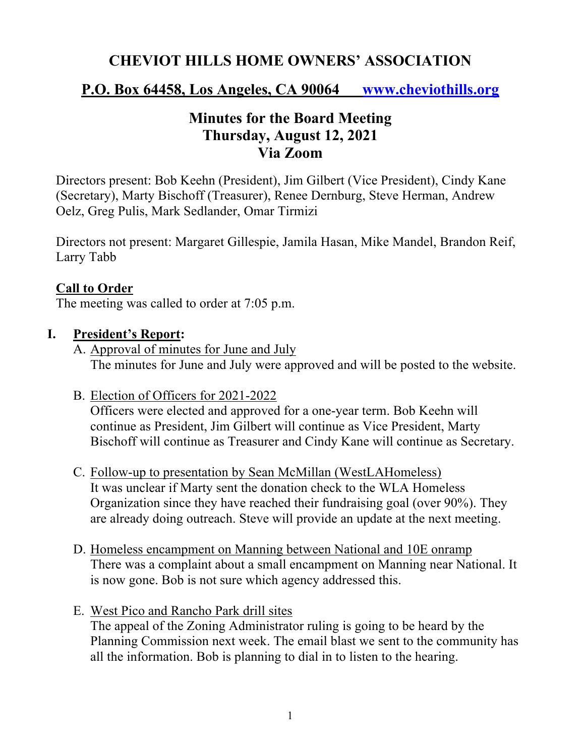# **CHEVIOT HILLS HOME OWNERS' ASSOCIATION**

## **P.O. Box 64458, Los Angeles, CA 90064 www.cheviothills.org**

## **Minutes for the Board Meeting Thursday, August 12, 2021 Via Zoom**

Directors present: Bob Keehn (President), Jim Gilbert (Vice President), Cindy Kane (Secretary), Marty Bischoff (Treasurer), Renee Dernburg, Steve Herman, Andrew Oelz, Greg Pulis, Mark Sedlander, Omar Tirmizi

Directors not present: Margaret Gillespie, Jamila Hasan, Mike Mandel, Brandon Reif, Larry Tabb

#### **Call to Order**

The meeting was called to order at 7:05 p.m.

#### **I. President's Report:**

- A. Approval of minutes for June and July The minutes for June and July were approved and will be posted to the website.
- B. Election of Officers for 2021-2022

Officers were elected and approved for a one-year term. Bob Keehn will continue as President, Jim Gilbert will continue as Vice President, Marty Bischoff will continue as Treasurer and Cindy Kane will continue as Secretary.

- C. Follow-up to presentation by Sean McMillan (WestLAHomeless) It was unclear if Marty sent the donation check to the WLA Homeless Organization since they have reached their fundraising goal (over 90%). They are already doing outreach. Steve will provide an update at the next meeting.
- D. Homeless encampment on Manning between National and 10E onramp There was a complaint about a small encampment on Manning near National. It is now gone. Bob is not sure which agency addressed this.
- E. West Pico and Rancho Park drill sites The appeal of the Zoning Administrator ruling is going to be heard by the Planning Commission next week. The email blast we sent to the community has all the information. Bob is planning to dial in to listen to the hearing.